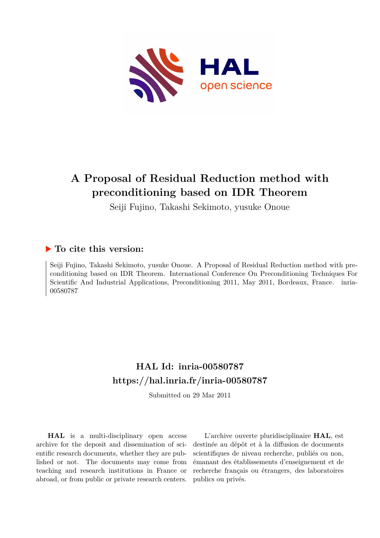

# **A Proposal of Residual Reduction method with preconditioning based on IDR Theorem**

Seiji Fujino, Takashi Sekimoto, yusuke Onoue

### **To cite this version:**

Seiji Fujino, Takashi Sekimoto, yusuke Onoue. A Proposal of Residual Reduction method with preconditioning based on IDR Theorem. International Conference On Preconditioning Techniques For Scientific And Industrial Applications, Preconditioning 2011, May 2011, Bordeaux, France. inria-00580787

## **HAL Id: inria-00580787 <https://hal.inria.fr/inria-00580787>**

Submitted on 29 Mar 2011

**HAL** is a multi-disciplinary open access archive for the deposit and dissemination of scientific research documents, whether they are published or not. The documents may come from teaching and research institutions in France or abroad, or from public or private research centers.

L'archive ouverte pluridisciplinaire **HAL**, est destinée au dépôt et à la diffusion de documents scientifiques de niveau recherche, publiés ou non, émanant des établissements d'enseignement et de recherche français ou étrangers, des laboratoires publics ou privés.